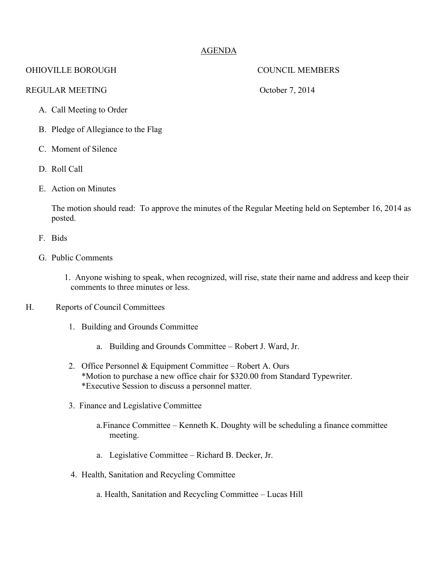# AGENDA

## OHIOVILLE BOROUGH COUNCIL MEMBERS

### REGULAR MEETING COOPERAGES OCTOBER 1, 2014

- A. Call Meeting to Order
- B. Pledge of Allegiance to the Flag
- C. Moment of Silence
- D. Roll Call
- E. Action on Minutes

The motion should read: To approve the minutes of the Regular Meeting held on September 16, 2014 as posted.

- F. Bids
- G. Public Comments
	- 1. Anyone wishing to speak, when recognized, will rise, state their name and address and keep their comments to three minutes or less.
- H. Reports of Council Committees
	- 1. Building and Grounds Committee
		- a. Building and Grounds Committee Robert J. Ward, Jr.
	- 2. Office Personnel & Equipment Committee Robert A. Ours \*Motion to purchase a new office chair for \$320.00 from Standard Typewriter. \*Executive Session to discuss a personnel matter.
	- 3. Finance and Legislative Committee
		- a.Finance Committee Kenneth K. Doughty will be scheduling a finance committee meeting.
		- a. Legislative Committee Richard B. Decker, Jr.
	- 4. Health, Sanitation and Recycling Committee
		- a. Health, Sanitation and Recycling Committee Lucas Hill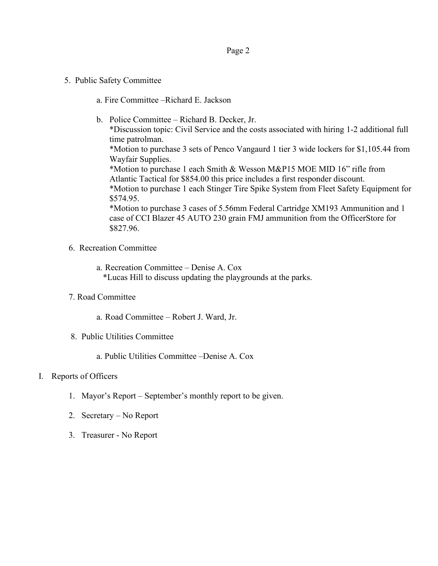- 5. Public Safety Committee
	- a. Fire Committee –Richard E. Jackson
	- b. Police Committee Richard B. Decker, Jr.

\*Discussion topic: Civil Service and the costs associated with hiring 1-2 additional full time patrolman.

\*Motion to purchase 3 sets of Penco Vangaurd 1 tier 3 wide lockers for \$1,105.44 from Wayfair Supplies.

\*Motion to purchase 1 each Smith & Wesson M&P15 MOE MID 16" rifle from Atlantic Tactical for \$854.00 this price includes a first responder discount.

\*Motion to purchase 1 each Stinger Tire Spike System from Fleet Safety Equipment for \$574.95.

\*Motion to purchase 3 cases of 5.56mm Federal Cartridge XM193 Ammunition and 1 case of CCI Blazer 45 AUTO 230 grain FMJ ammunition from the OfficerStore for \$827.96.

6. Recreation Committee

a. Recreation Committee – Denise A. Cox \*Lucas Hill to discuss updating the playgrounds at the parks.

- 7. Road Committee
	- a. Road Committee Robert J. Ward, Jr.
- 8. Public Utilities Committee

a. Public Utilities Committee –Denise A. Cox

### I. Reports of Officers

- 1. Mayor's Report September's monthly report to be given.
- 2. Secretary No Report
- 3. Treasurer No Report